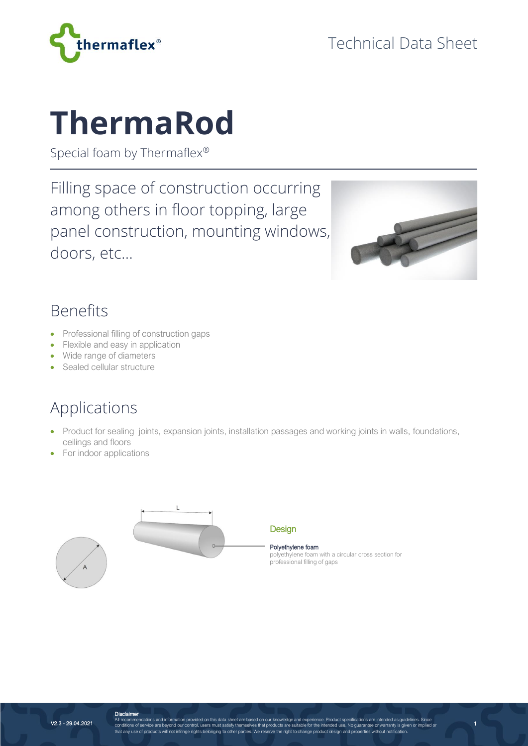

# **ThermaRod**

Special foam by Thermaflex®

Filling space of construction occurring among others in floor topping, large panel construction, mounting windows, doors, etc…



1

### Benefits

- Professional filling of construction gaps
- Flexible and easy in application
- Wide range of diameters
- Sealed cellular structure

## Applications

- Product for sealing joints, expansion joints, installation passages and working joints in walls, foundations, ceilings and floors
- For indoor applications





**Design** 

Polyethylene foam polyethylene foam with a circular cross section for professional filling of gaps